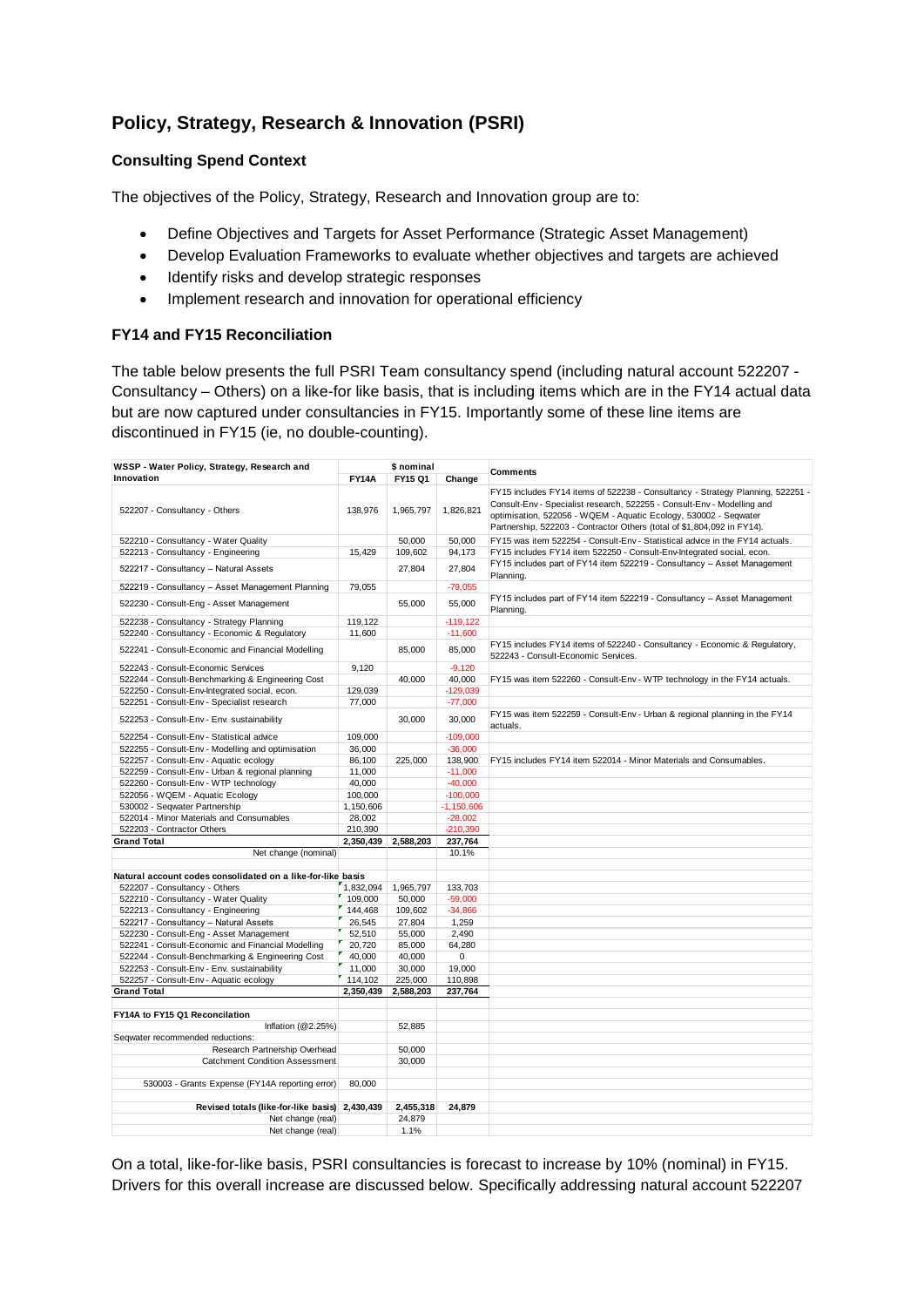# **Policy, Strategy, Research & Innovation (PSRI)**

## **Consulting Spend Context**

The objectives of the Policy, Strategy, Research and Innovation group are to:

- Define Objectives and Targets for Asset Performance (Strategic Asset Management)
- Develop Evaluation Frameworks to evaluate whether objectives and targets are achieved
- Identify risks and develop strategic responses
- Implement research and innovation for operational efficiency

## **FY14 and FY15 Reconciliation**

The table below presents the full PSRI Team consultancy spend (including natural account 522207 - Consultancy – Others) on a like-for like basis, that is including items which are in the FY14 actual data but are now captured under consultancies in FY15. Importantly some of these line items are discontinued in FY15 (ie, no double-counting).

| WSSP - Water Policy, Strategy, Research and<br>\$ nominal                                             |                  |                  |              |                                                                                                                                                                                                                                                                                                          |
|-------------------------------------------------------------------------------------------------------|------------------|------------------|--------------|----------------------------------------------------------------------------------------------------------------------------------------------------------------------------------------------------------------------------------------------------------------------------------------------------------|
| Innovation                                                                                            | <b>FY14A</b>     | FY15 Q1          | Change       | <b>Comments</b>                                                                                                                                                                                                                                                                                          |
| 522207 - Consultancy - Others                                                                         | 138,976          | 1,965,797        | 1,826,821    | FY15 includes FY14 items of 522238 - Consultancy - Strategy Planning, 522251 -<br>Consult-Env - Specialist research, 522255 - Consult-Env - Modelling and<br>optimisation, 522056 - WQEM - Aquatic Ecology, 530002 - Seqwater<br>Partnership, 522203 - Contractor Others (total of \$1,804,092 in FY14). |
| 522210 - Consultancy - Water Quality                                                                  |                  | 50,000           | 50.000       | FY15 was item 522254 - Consult-Env - Statistical advice in the FY14 actuals.                                                                                                                                                                                                                             |
| 522213 - Consultancy - Engineering                                                                    | 15,429           | 109,602          | 94,173       | FY15 includes FY14 item 522250 - Consult-Env-Integrated social, econ.                                                                                                                                                                                                                                    |
| 522217 - Consultancy - Natural Assets                                                                 |                  | 27,804           | 27,804       | FY15 includes part of FY14 item 522219 - Consultancy - Asset Management<br>Planning.                                                                                                                                                                                                                     |
| 522219 - Consultancy - Asset Management Planning                                                      | 79,055           |                  | $-79,055$    |                                                                                                                                                                                                                                                                                                          |
| 522230 - Consult-Eng - Asset Management                                                               |                  | 55,000           | 55,000       | FY15 includes part of FY14 item 522219 - Consultancy - Asset Management<br>Planning.                                                                                                                                                                                                                     |
| 522238 - Consultancy - Strategy Planning                                                              | 119.122          |                  | $-119.122$   |                                                                                                                                                                                                                                                                                                          |
| 522240 - Consultancy - Economic & Regulatory                                                          | 11,600           |                  | $-11,600$    |                                                                                                                                                                                                                                                                                                          |
| 522241 - Consult-Economic and Financial Modelling                                                     |                  | 85,000           | 85,000       | FY15 includes FY14 items of 522240 - Consultancy - Economic & Regulatory,<br>522243 - Consult-Economic Services.                                                                                                                                                                                         |
| 522243 - Consult-Economic Services                                                                    | 9,120            |                  | $-9,120$     |                                                                                                                                                                                                                                                                                                          |
| 522244 - Consult-Benchmarking & Engineering Cost                                                      |                  | 40,000           | 40,000       | FY15 was item 522260 - Consult-Env - WTP technology in the FY14 actuals.                                                                                                                                                                                                                                 |
| 522250 - Consult-Env-Integrated social, econ.                                                         | 129,039          |                  | $-129,039$   |                                                                                                                                                                                                                                                                                                          |
| 522251 - Consult-Env - Specialist research                                                            | 77,000           |                  | $-77,000$    |                                                                                                                                                                                                                                                                                                          |
| 522253 - Consult-Env - Env. sustainability                                                            |                  | 30,000           | 30,000       | FY15 was item 522259 - Consult-Env - Urban & regional planning in the FY14<br>actuals.                                                                                                                                                                                                                   |
| 522254 - Consult-Env - Statistical advice                                                             | 109.000          |                  | $-109,000$   |                                                                                                                                                                                                                                                                                                          |
| 522255 - Consult-Env - Modelling and optimisation                                                     | 36,000           |                  | $-36,000$    |                                                                                                                                                                                                                                                                                                          |
| 522257 - Consult-Env - Aquatic ecology                                                                | 86,100           | 225,000          | 138,900      | FY15 includes FY14 item 522014 - Minor Materials and Consumables.                                                                                                                                                                                                                                        |
| 522259 - Consult-Env - Urban & regional planning                                                      | 11,000           |                  | $-11,000$    |                                                                                                                                                                                                                                                                                                          |
| 522260 - Consult-Env - WTP technology                                                                 | 40,000           |                  | $-40,000$    |                                                                                                                                                                                                                                                                                                          |
| 522056 - WQEM - Aquatic Ecology                                                                       | 100,000          |                  | $-100.000$   |                                                                                                                                                                                                                                                                                                          |
| 530002 - Seqwater Partnership                                                                         | 1,150,606        |                  | $-1,150,606$ |                                                                                                                                                                                                                                                                                                          |
| 522014 - Minor Materials and Consumables                                                              | 28,002           |                  | $-28.002$    |                                                                                                                                                                                                                                                                                                          |
| 522203 - Contractor Others                                                                            | 210,390          |                  | $-210,390$   |                                                                                                                                                                                                                                                                                                          |
| <b>Grand Total</b>                                                                                    | 2,350,439        | 2,588,203        | 237,764      |                                                                                                                                                                                                                                                                                                          |
| Net change (nominal)                                                                                  |                  |                  | 10.1%        |                                                                                                                                                                                                                                                                                                          |
|                                                                                                       |                  |                  |              |                                                                                                                                                                                                                                                                                                          |
| Natural account codes consolidated on a like-for-like basis                                           |                  |                  |              |                                                                                                                                                                                                                                                                                                          |
| 522207 - Consultancy - Others                                                                         | 1,832,094        | 1,965,797        | 133,703      |                                                                                                                                                                                                                                                                                                          |
| 522210 - Consultancy - Water Quality                                                                  | 109.000          | 50,000           | $-59.000$    |                                                                                                                                                                                                                                                                                                          |
| 522213 - Consultancy - Engineering                                                                    | 144,468          | 109,602          | $-34,866$    |                                                                                                                                                                                                                                                                                                          |
| 522217 - Consultancy - Natural Assets                                                                 | 26,545           | 27,804           | 1,259        |                                                                                                                                                                                                                                                                                                          |
| 522230 - Consult-Eng - Asset Management                                                               | 52,510           | 55,000           | 2,490        |                                                                                                                                                                                                                                                                                                          |
| 522241 - Consult-Economic and Financial Modelling<br>522244 - Consult-Benchmarking & Engineering Cost | 20,720<br>40,000 | 85,000<br>40,000 | 64,280<br>0  |                                                                                                                                                                                                                                                                                                          |
| 522253 - Consult-Env - Env. sustainability                                                            | 11,000           | 30,000           | 19,000       |                                                                                                                                                                                                                                                                                                          |
| 522257 - Consult-Env - Aquatic ecology                                                                | 114,102          | 225,000          | 110,898      |                                                                                                                                                                                                                                                                                                          |
| <b>Grand Total</b>                                                                                    | 2,350,439        | 2,588,203        | 237,764      |                                                                                                                                                                                                                                                                                                          |
|                                                                                                       |                  |                  |              |                                                                                                                                                                                                                                                                                                          |
| FY14A to FY15 Q1 Reconcilation                                                                        |                  |                  |              |                                                                                                                                                                                                                                                                                                          |
| Inflation $(@2.25%)$                                                                                  |                  | 52,885           |              |                                                                                                                                                                                                                                                                                                          |
| Seqwater recommended reductions:<br>Research Partnership Overhead                                     |                  | 50,000           |              |                                                                                                                                                                                                                                                                                                          |
| <b>Catchment Condition Assessment</b>                                                                 |                  | 30,000           |              |                                                                                                                                                                                                                                                                                                          |
|                                                                                                       |                  |                  |              |                                                                                                                                                                                                                                                                                                          |
| 530003 - Grants Expense (FY14A reporting error)                                                       | 80,000           |                  |              |                                                                                                                                                                                                                                                                                                          |
| Revised totals (like-for-like basis) 2,430,439                                                        |                  | 2,455,318        | 24,879       |                                                                                                                                                                                                                                                                                                          |
| Net change (real)                                                                                     |                  | 24.879           |              |                                                                                                                                                                                                                                                                                                          |
| Net change (real)                                                                                     |                  | 1.1%             |              |                                                                                                                                                                                                                                                                                                          |

On a total, like-for-like basis, PSRI consultancies is forecast to increase by 10% (nominal) in FY15. Drivers for this overall increase are discussed below. Specifically addressing natural account 522207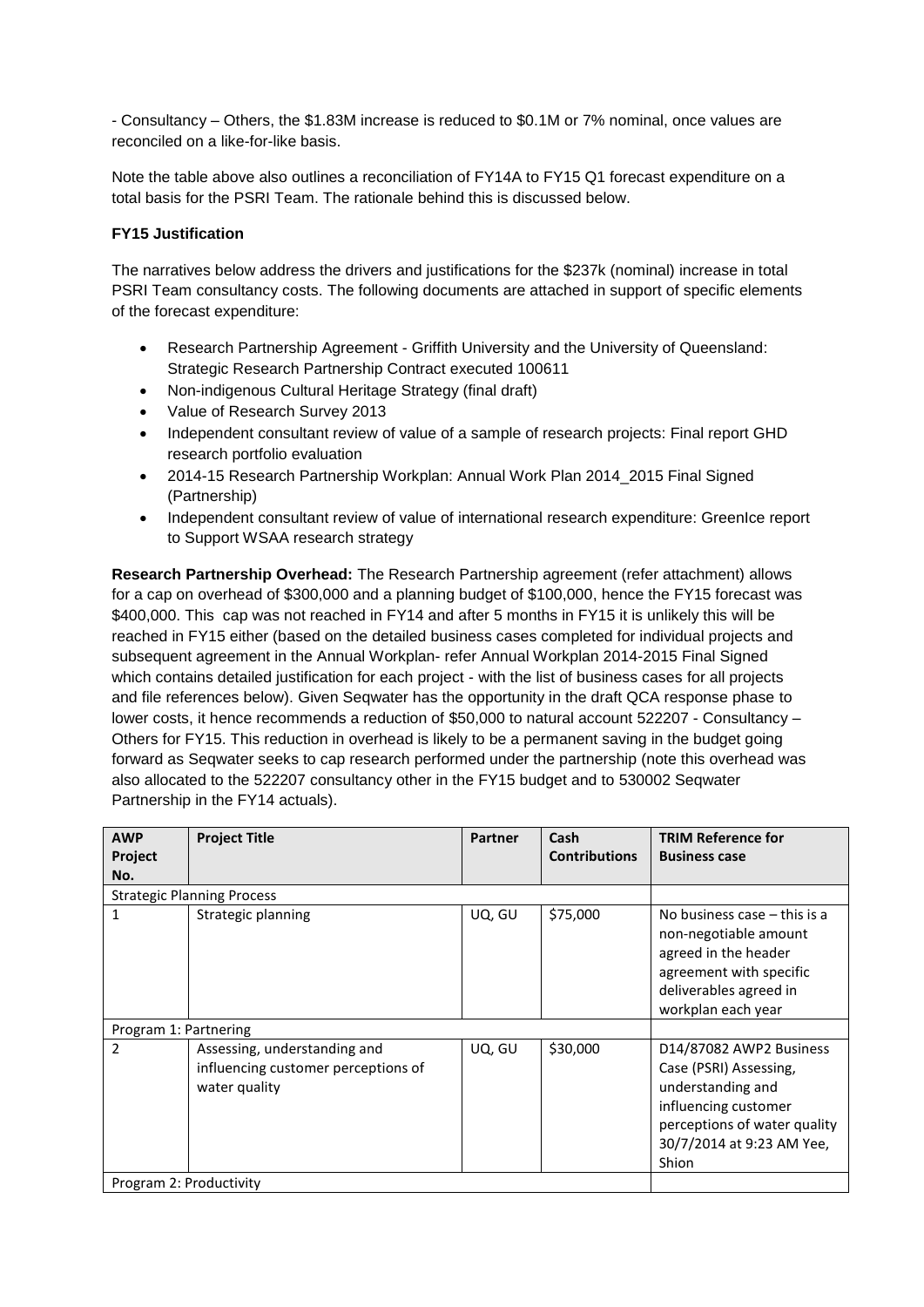- Consultancy – Others, the \$1.83M increase is reduced to \$0.1M or 7% nominal, once values are reconciled on a like-for-like basis.

Note the table above also outlines a reconciliation of FY14A to FY15 Q1 forecast expenditure on a total basis for the PSRI Team. The rationale behind this is discussed below.

#### **FY15 Justification**

The narratives below address the drivers and justifications for the \$237k (nominal) increase in total PSRI Team consultancy costs. The following documents are attached in support of specific elements of the forecast expenditure:

- Research Partnership Agreement Griffith University and the University of Queensland: Strategic Research Partnership Contract executed 100611
- Non-indigenous Cultural Heritage Strategy (final draft)
- Value of Research Survey 2013
- Independent consultant review of value of a sample of research projects: Final report GHD research portfolio evaluation
- 2014-15 Research Partnership Workplan: Annual Work Plan 2014 2015 Final Signed (Partnership)
- Independent consultant review of value of international research expenditure: GreenIce report to Support WSAA research strategy

**Research Partnership Overhead:** The Research Partnership agreement (refer attachment) allows for a cap on overhead of \$300,000 and a planning budget of \$100,000, hence the FY15 forecast was \$400,000. This cap was not reached in FY14 and after 5 months in FY15 it is unlikely this will be reached in FY15 either (based on the detailed business cases completed for individual projects and subsequent agreement in the Annual Workplan- refer Annual Workplan 2014-2015 Final Signed which contains detailed justification for each project - with the list of business cases for all projects and file references below). Given Seqwater has the opportunity in the draft QCA response phase to lower costs, it hence recommends a reduction of \$50,000 to natural account 522207 - Consultancy – Others for FY15. This reduction in overhead is likely to be a permanent saving in the budget going forward as Seqwater seeks to cap research performed under the partnership (note this overhead was also allocated to the 522207 consultancy other in the FY15 budget and to 530002 Seqwater Partnership in the FY14 actuals).

| <b>AWP</b>              | <b>Project Title</b>                                                                 | <b>Partner</b> | Cash                 | <b>TRIM Reference for</b>                                                                                                                                            |
|-------------------------|--------------------------------------------------------------------------------------|----------------|----------------------|----------------------------------------------------------------------------------------------------------------------------------------------------------------------|
| Project                 |                                                                                      |                | <b>Contributions</b> | <b>Business case</b>                                                                                                                                                 |
| No.                     |                                                                                      |                |                      |                                                                                                                                                                      |
|                         | <b>Strategic Planning Process</b>                                                    |                |                      |                                                                                                                                                                      |
| 1                       | Strategic planning                                                                   | UQ, GU         | \$75,000             | No business case $-$ this is a<br>non-negotiable amount<br>agreed in the header<br>agreement with specific<br>deliverables agreed in<br>workplan each year           |
| Program 1: Partnering   |                                                                                      |                |                      |                                                                                                                                                                      |
| 2                       | Assessing, understanding and<br>influencing customer perceptions of<br>water quality | UQ, GU         | \$30,000             | D14/87082 AWP2 Business<br>Case (PSRI) Assessing,<br>understanding and<br>influencing customer<br>perceptions of water quality<br>30/7/2014 at 9:23 AM Yee,<br>Shion |
| Program 2: Productivity |                                                                                      |                |                      |                                                                                                                                                                      |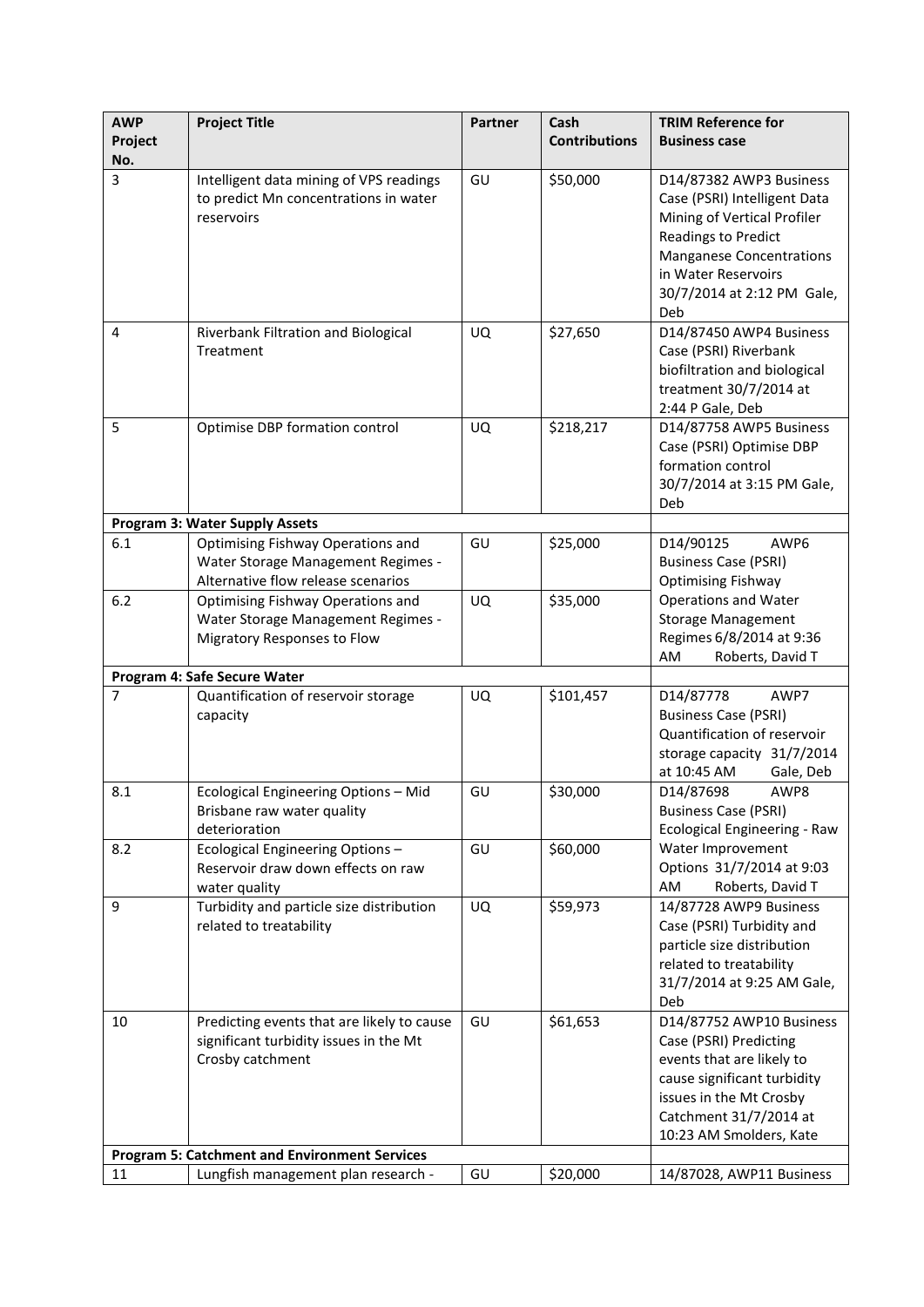| <b>AWP</b><br>Project | <b>Project Title</b>                                                                                                                                             | <b>Partner</b> | Cash<br><b>Contributions</b> | <b>TRIM Reference for</b><br><b>Business case</b>                                                                                                                                                                   |  |
|-----------------------|------------------------------------------------------------------------------------------------------------------------------------------------------------------|----------------|------------------------------|---------------------------------------------------------------------------------------------------------------------------------------------------------------------------------------------------------------------|--|
| No.                   |                                                                                                                                                                  |                |                              |                                                                                                                                                                                                                     |  |
| 3                     | Intelligent data mining of VPS readings<br>to predict Mn concentrations in water<br>reservoirs                                                                   | GU             | \$50,000                     | D14/87382 AWP3 Business<br>Case (PSRI) Intelligent Data<br>Mining of Vertical Profiler<br><b>Readings to Predict</b><br><b>Manganese Concentrations</b><br>in Water Reservoirs<br>30/7/2014 at 2:12 PM Gale,<br>Deb |  |
| 4                     | Riverbank Filtration and Biological<br>Treatment                                                                                                                 | UQ             | \$27,650                     | D14/87450 AWP4 Business<br>Case (PSRI) Riverbank<br>biofiltration and biological<br>treatment 30/7/2014 at<br>2:44 P Gale, Deb                                                                                      |  |
| 5                     | Optimise DBP formation control<br><b>Program 3: Water Supply Assets</b>                                                                                          | UQ             | \$218,217                    | D14/87758 AWP5 Business<br>Case (PSRI) Optimise DBP<br>formation control<br>30/7/2014 at 3:15 PM Gale,<br>Deb                                                                                                       |  |
| 6.1                   | <b>Optimising Fishway Operations and</b>                                                                                                                         | GU             | \$25,000                     | D14/90125<br>AWP6                                                                                                                                                                                                   |  |
|                       | Water Storage Management Regimes -<br>Alternative flow release scenarios                                                                                         |                |                              | <b>Business Case (PSRI)</b><br><b>Optimising Fishway</b>                                                                                                                                                            |  |
| 6.2                   | <b>Optimising Fishway Operations and</b><br>Water Storage Management Regimes -<br>Migratory Responses to Flow                                                    | <b>UQ</b>      | \$35,000                     | <b>Operations and Water</b><br><b>Storage Management</b><br>Regimes 6/8/2014 at 9:36<br>AM<br>Roberts, David T                                                                                                      |  |
|                       | Program 4: Safe Secure Water                                                                                                                                     |                |                              |                                                                                                                                                                                                                     |  |
| $\overline{7}$        | Quantification of reservoir storage<br>capacity                                                                                                                  | UQ             | \$101,457                    | D14/87778<br>AWP7<br><b>Business Case (PSRI)</b><br>Quantification of reservoir<br>storage capacity 31/7/2014<br>at 10:45 AM<br>Gale, Deb                                                                           |  |
| 8.1                   | Ecological Engineering Options - Mid<br>Brisbane raw water quality<br>deterioration                                                                              | GU             | \$30,000                     | D14/87698<br>AWP8<br>Business Case (PSRI)<br>Ecological Engineering - Raw<br>Water Improvement<br>Options 31/7/2014 at 9:03<br>AM<br>Roberts, David T                                                               |  |
| 8.2                   | Ecological Engineering Options -<br>Reservoir draw down effects on raw<br>water quality                                                                          | GU             | \$60,000                     |                                                                                                                                                                                                                     |  |
| 9                     | Turbidity and particle size distribution<br>related to treatability                                                                                              | <b>UQ</b>      | \$59,973                     | 14/87728 AWP9 Business<br>Case (PSRI) Turbidity and<br>particle size distribution<br>related to treatability<br>31/7/2014 at 9:25 AM Gale,<br>Deb                                                                   |  |
| 10                    | Predicting events that are likely to cause<br>significant turbidity issues in the Mt<br>Crosby catchment<br><b>Program 5: Catchment and Environment Services</b> | GU             | \$61,653                     | D14/87752 AWP10 Business<br>Case (PSRI) Predicting<br>events that are likely to<br>cause significant turbidity<br>issues in the Mt Crosby<br>Catchment 31/7/2014 at<br>10:23 AM Smolders, Kate                      |  |
| 11                    | Lungfish management plan research -                                                                                                                              | GU             | \$20,000                     | 14/87028, AWP11 Business                                                                                                                                                                                            |  |
|                       |                                                                                                                                                                  |                |                              |                                                                                                                                                                                                                     |  |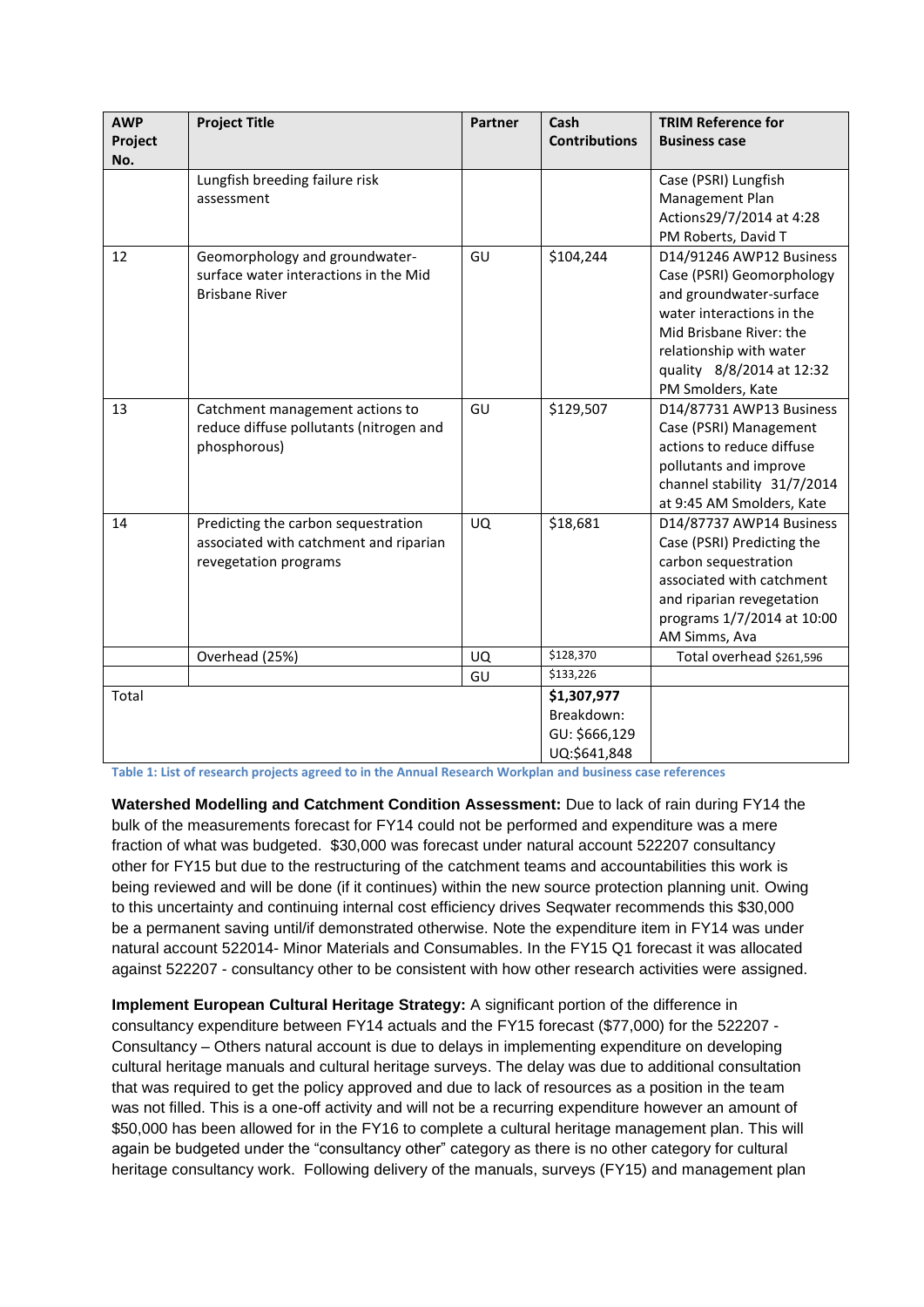| <b>AWP</b><br>Project<br>No. | <b>Project Title</b>                                                                                   | <b>Partner</b> | Cash<br><b>Contributions</b>                               | <b>TRIM Reference for</b><br><b>Business case</b>                                                                                                                                                                     |
|------------------------------|--------------------------------------------------------------------------------------------------------|----------------|------------------------------------------------------------|-----------------------------------------------------------------------------------------------------------------------------------------------------------------------------------------------------------------------|
|                              | Lungfish breeding failure risk<br>assessment                                                           |                |                                                            | Case (PSRI) Lungfish<br>Management Plan<br>Actions29/7/2014 at 4:28<br>PM Roberts, David T                                                                                                                            |
| 12                           | Geomorphology and groundwater-<br>surface water interactions in the Mid<br><b>Brisbane River</b>       | GU             | \$104,244                                                  | D14/91246 AWP12 Business<br>Case (PSRI) Geomorphology<br>and groundwater-surface<br>water interactions in the<br>Mid Brisbane River: the<br>relationship with water<br>quality 8/8/2014 at 12:32<br>PM Smolders, Kate |
| 13                           | Catchment management actions to<br>reduce diffuse pollutants (nitrogen and<br>phosphorous)             | GU             | \$129,507                                                  | D14/87731 AWP13 Business<br>Case (PSRI) Management<br>actions to reduce diffuse<br>pollutants and improve<br>channel stability 31/7/2014<br>at 9:45 AM Smolders, Kate                                                 |
| 14                           | Predicting the carbon sequestration<br>associated with catchment and riparian<br>revegetation programs | <b>UQ</b>      | \$18,681                                                   | D14/87737 AWP14 Business<br>Case (PSRI) Predicting the<br>carbon sequestration<br>associated with catchment<br>and riparian revegetation<br>programs 1/7/2014 at 10:00<br>AM Simms, Ava                               |
|                              | Overhead (25%)                                                                                         | UQ             | \$128,370                                                  | Total overhead \$261,596                                                                                                                                                                                              |
|                              |                                                                                                        | GU             | \$133,226                                                  |                                                                                                                                                                                                                       |
| Total                        |                                                                                                        |                | \$1,307,977<br>Breakdown:<br>GU: \$666,129<br>UQ:\$641,848 |                                                                                                                                                                                                                       |

**Table 1: List of research projects agreed to in the Annual Research Workplan and business case references**

**Watershed Modelling and Catchment Condition Assessment:** Due to lack of rain during FY14 the bulk of the measurements forecast for FY14 could not be performed and expenditure was a mere fraction of what was budgeted. \$30,000 was forecast under natural account 522207 consultancy other for FY15 but due to the restructuring of the catchment teams and accountabilities this work is being reviewed and will be done (if it continues) within the new source protection planning unit. Owing to this uncertainty and continuing internal cost efficiency drives Seqwater recommends this \$30,000 be a permanent saving until/if demonstrated otherwise. Note the expenditure item in FY14 was under natural account 522014- Minor Materials and Consumables. In the FY15 Q1 forecast it was allocated against 522207 - consultancy other to be consistent with how other research activities were assigned.

**Implement European Cultural Heritage Strategy:** A significant portion of the difference in consultancy expenditure between FY14 actuals and the FY15 forecast (\$77,000) for the 522207 - Consultancy – Others natural account is due to delays in implementing expenditure on developing cultural heritage manuals and cultural heritage surveys. The delay was due to additional consultation that was required to get the policy approved and due to lack of resources as a position in the team was not filled. This is a one-off activity and will not be a recurring expenditure however an amount of \$50,000 has been allowed for in the FY16 to complete a cultural heritage management plan. This will again be budgeted under the "consultancy other" category as there is no other category for cultural heritage consultancy work. Following delivery of the manuals, surveys (FY15) and management plan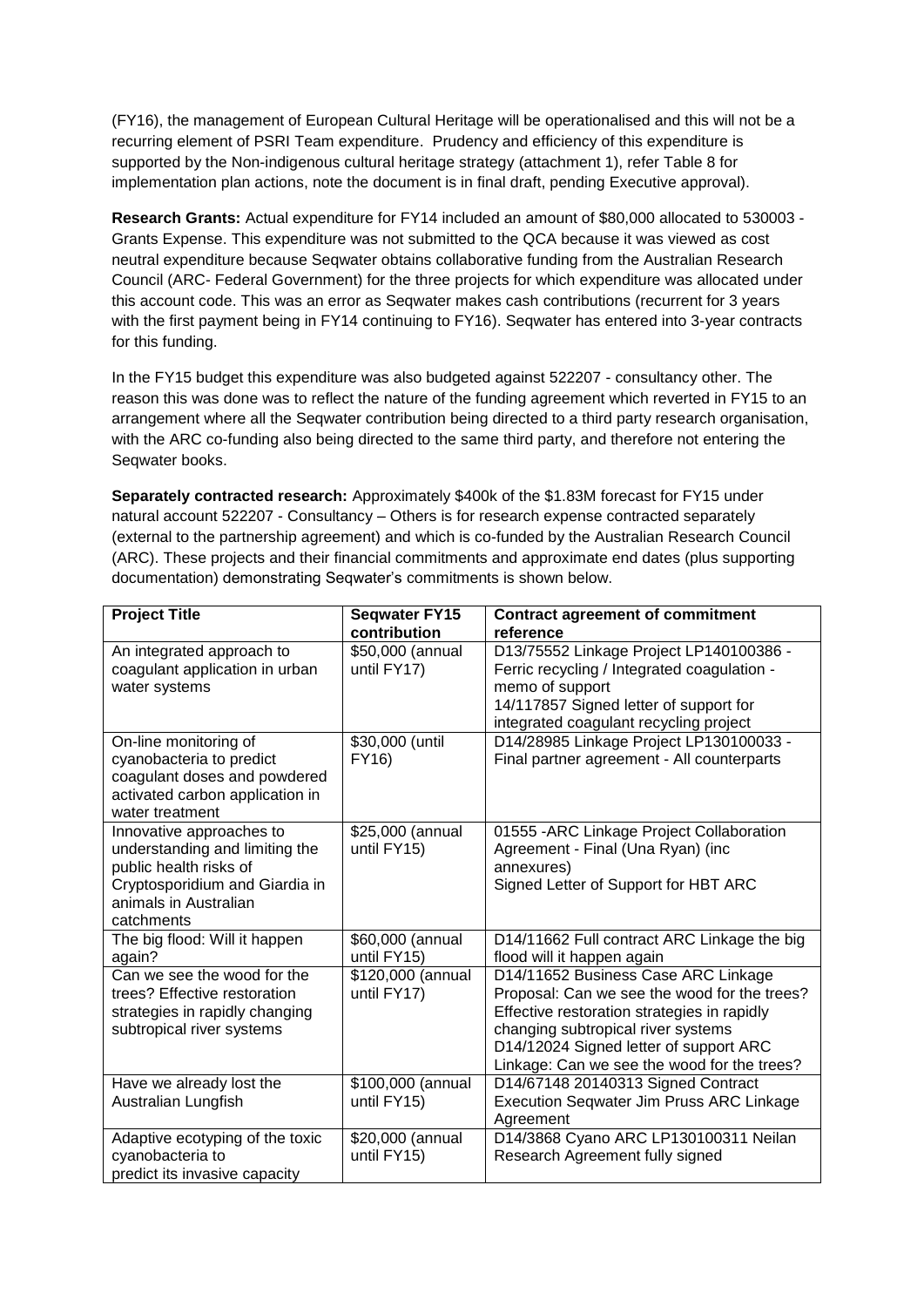(FY16), the management of European Cultural Heritage will be operationalised and this will not be a recurring element of PSRI Team expenditure. Prudency and efficiency of this expenditure is supported by the Non-indigenous cultural heritage strategy (attachment 1), refer Table 8 for implementation plan actions, note the document is in final draft, pending Executive approval).

**Research Grants:** Actual expenditure for FY14 included an amount of \$80,000 allocated to 530003 - Grants Expense. This expenditure was not submitted to the QCA because it was viewed as cost neutral expenditure because Seqwater obtains collaborative funding from the Australian Research Council (ARC- Federal Government) for the three projects for which expenditure was allocated under this account code. This was an error as Seqwater makes cash contributions (recurrent for 3 years with the first payment being in FY14 continuing to FY16). Seqwater has entered into 3-year contracts for this funding.

In the FY15 budget this expenditure was also budgeted against 522207 - consultancy other. The reason this was done was to reflect the nature of the funding agreement which reverted in FY15 to an arrangement where all the Seqwater contribution being directed to a third party research organisation, with the ARC co-funding also being directed to the same third party, and therefore not entering the Seqwater books.

**Separately contracted research:** Approximately \$400k of the \$1.83M forecast for FY15 under natural account 522207 - Consultancy – Others is for research expense contracted separately (external to the partnership agreement) and which is co-funded by the Australian Research Council (ARC). These projects and their financial commitments and approximate end dates (plus supporting documentation) demonstrating Seqwater's commitments is shown below.

| <b>Project Title</b>                                                                                                                                          | <b>Seqwater FY15</b><br>contribution | <b>Contract agreement of commitment</b><br>reference                                                                                                                                                                                                              |
|---------------------------------------------------------------------------------------------------------------------------------------------------------------|--------------------------------------|-------------------------------------------------------------------------------------------------------------------------------------------------------------------------------------------------------------------------------------------------------------------|
| An integrated approach to<br>coagulant application in urban<br>water systems                                                                                  | \$50,000 (annual<br>until FY17)      | D13/75552 Linkage Project LP140100386 -<br>Ferric recycling / Integrated coagulation -<br>memo of support<br>14/117857 Signed letter of support for<br>integrated coagulant recycling project                                                                     |
| On-line monitoring of<br>cyanobacteria to predict<br>coagulant doses and powdered<br>activated carbon application in<br>water treatment                       | \$30,000 (until<br>FY16)             | D14/28985 Linkage Project LP130100033 -<br>Final partner agreement - All counterparts                                                                                                                                                                             |
| Innovative approaches to<br>understanding and limiting the<br>public health risks of<br>Cryptosporidium and Giardia in<br>animals in Australian<br>catchments | \$25,000 (annual<br>until FY15)      | 01555 - ARC Linkage Project Collaboration<br>Agreement - Final (Una Ryan) (inc<br>annexures)<br>Signed Letter of Support for HBT ARC                                                                                                                              |
| The big flood: Will it happen<br>again?                                                                                                                       | \$60,000 (annual<br>until FY15)      | D14/11662 Full contract ARC Linkage the big<br>flood will it happen again                                                                                                                                                                                         |
| Can we see the wood for the<br>trees? Effective restoration<br>strategies in rapidly changing<br>subtropical river systems                                    | \$120,000 (annual<br>until FY17)     | D14/11652 Business Case ARC Linkage<br>Proposal: Can we see the wood for the trees?<br>Effective restoration strategies in rapidly<br>changing subtropical river systems<br>D14/12024 Signed letter of support ARC<br>Linkage: Can we see the wood for the trees? |
| Have we already lost the<br>Australian Lungfish                                                                                                               | \$100,000 (annual<br>until FY15)     | D14/67148 20140313 Signed Contract<br><b>Execution Seqwater Jim Pruss ARC Linkage</b><br>Agreement                                                                                                                                                                |
| Adaptive ecotyping of the toxic<br>cyanobacteria to<br>predict its invasive capacity                                                                          | \$20,000 (annual<br>until FY15)      | D14/3868 Cyano ARC LP130100311 Neilan<br>Research Agreement fully signed                                                                                                                                                                                          |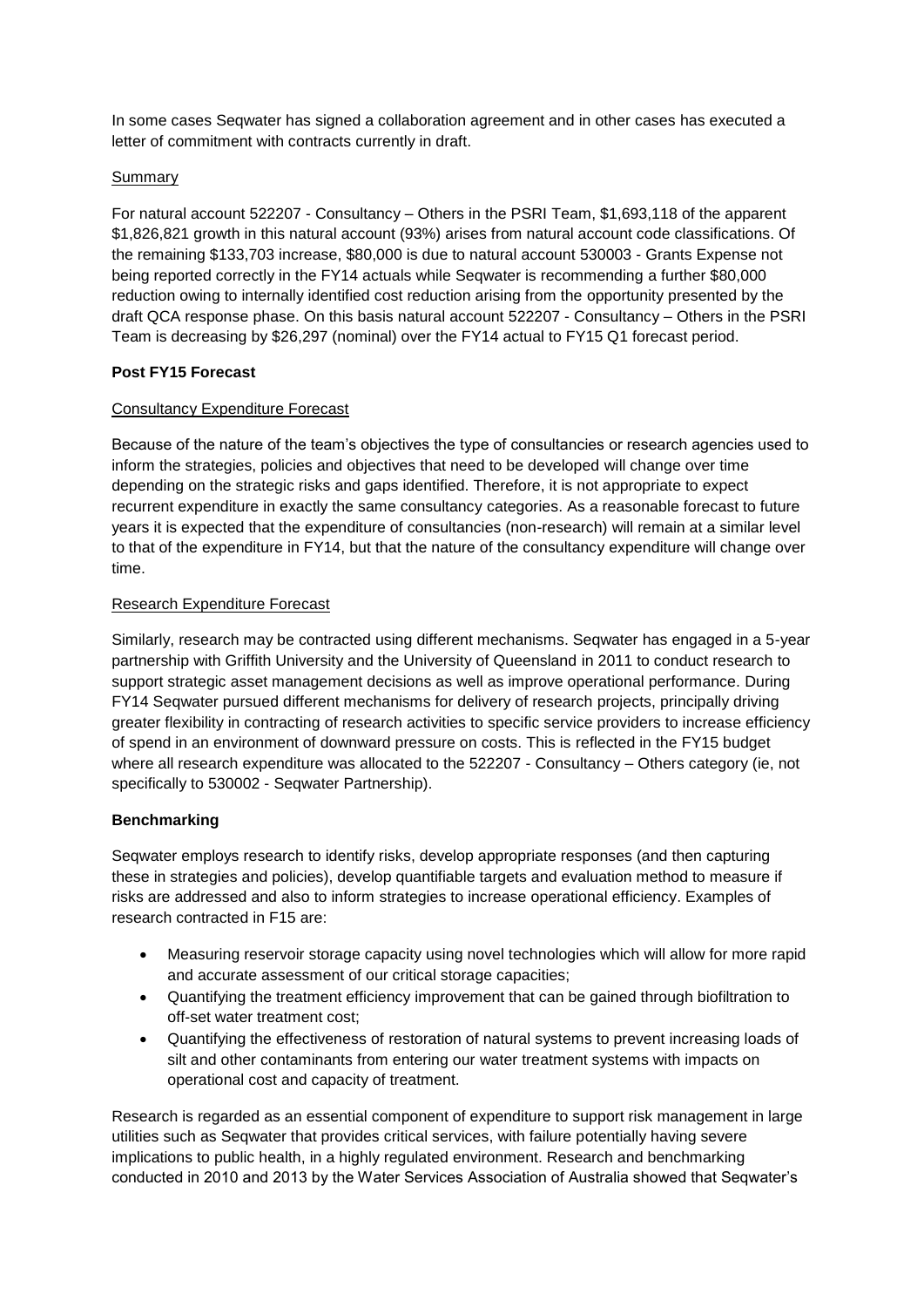In some cases Seqwater has signed a collaboration agreement and in other cases has executed a letter of commitment with contracts currently in draft.

#### Summary

For natural account 522207 - Consultancy – Others in the PSRI Team, \$1,693,118 of the apparent \$1,826,821 growth in this natural account (93%) arises from natural account code classifications. Of the remaining \$133,703 increase, \$80,000 is due to natural account 530003 - Grants Expense not being reported correctly in the FY14 actuals while Seqwater is recommending a further \$80,000 reduction owing to internally identified cost reduction arising from the opportunity presented by the draft QCA response phase. On this basis natural account 522207 - Consultancy – Others in the PSRI Team is decreasing by \$26,297 (nominal) over the FY14 actual to FY15 Q1 forecast period.

## **Post FY15 Forecast**

## Consultancy Expenditure Forecast

Because of the nature of the team's objectives the type of consultancies or research agencies used to inform the strategies, policies and objectives that need to be developed will change over time depending on the strategic risks and gaps identified. Therefore, it is not appropriate to expect recurrent expenditure in exactly the same consultancy categories. As a reasonable forecast to future years it is expected that the expenditure of consultancies (non-research) will remain at a similar level to that of the expenditure in FY14, but that the nature of the consultancy expenditure will change over time.

#### Research Expenditure Forecast

Similarly, research may be contracted using different mechanisms. Seqwater has engaged in a 5-year partnership with Griffith University and the University of Queensland in 2011 to conduct research to support strategic asset management decisions as well as improve operational performance. During FY14 Seqwater pursued different mechanisms for delivery of research projects, principally driving greater flexibility in contracting of research activities to specific service providers to increase efficiency of spend in an environment of downward pressure on costs. This is reflected in the FY15 budget where all research expenditure was allocated to the 522207 - Consultancy – Others category (ie, not specifically to 530002 - Seqwater Partnership).

#### **Benchmarking**

Seqwater employs research to identify risks, develop appropriate responses (and then capturing these in strategies and policies), develop quantifiable targets and evaluation method to measure if risks are addressed and also to inform strategies to increase operational efficiency. Examples of research contracted in F15 are:

- Measuring reservoir storage capacity using novel technologies which will allow for more rapid and accurate assessment of our critical storage capacities;
- Quantifying the treatment efficiency improvement that can be gained through biofiltration to off-set water treatment cost;
- Quantifying the effectiveness of restoration of natural systems to prevent increasing loads of silt and other contaminants from entering our water treatment systems with impacts on operational cost and capacity of treatment.

Research is regarded as an essential component of expenditure to support risk management in large utilities such as Seqwater that provides critical services, with failure potentially having severe implications to public health, in a highly regulated environment. Research and benchmarking conducted in 2010 and 2013 by the Water Services Association of Australia showed that Seqwater's